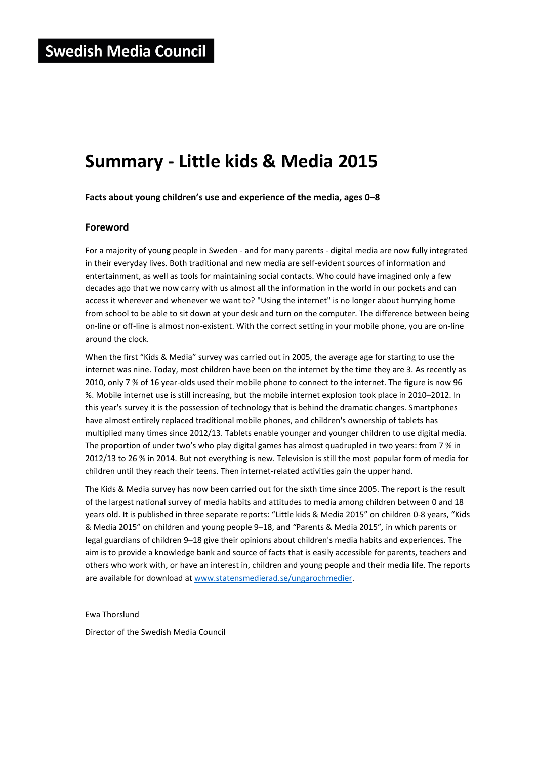# **Summary - Little kids & Media 2015**

**Facts about young children's use and experience of the media, ages 0–8**

# **Foreword**

For a majority of young people in Sweden - and for many parents - digital media are now fully integrated in their everyday lives. Both traditional and new media are self-evident sources of information and entertainment, as well as tools for maintaining social contacts. Who could have imagined only a few decades ago that we now carry with us almost all the information in the world in our pockets and can access it wherever and whenever we want to? "Using the internet" is no longer about hurrying home from school to be able to sit down at your desk and turn on the computer. The difference between being on-line or off-line is almost non-existent. With the correct setting in your mobile phone, you are on-line around the clock.

When the first "Kids & Media" survey was carried out in 2005, the average age for starting to use the internet was nine. Today, most children have been on the internet by the time they are 3. As recently as 2010, only 7 % of 16 year-olds used their mobile phone to connect to the internet. The figure is now 96 %. Mobile internet use is still increasing, but the mobile internet explosion took place in 2010–2012. In this year's survey it is the possession of technology that is behind the dramatic changes. Smartphones have almost entirely replaced traditional mobile phones, and children's ownership of tablets has multiplied many times since 2012/13. Tablets enable younger and younger children to use digital media. The proportion of under two's who play digital games has almost quadrupled in two years: from 7 % in 2012/13 to 26 % in 2014. But not everything is new. Television is still the most popular form of media for children until they reach their teens. Then internet-related activities gain the upper hand.

The Kids & Media survey has now been carried out for the sixth time since 2005. The report is the result of the largest national survey of media habits and attitudes to media among children between 0 and 18 years old. It is published in three separate reports: "Little kids & Media 2015" on children 0-8 years, "Kids & Media 2015" on children and young people 9–18, and *"*Parents & Media 2015"*,* in which parents or legal guardians of children 9–18 give their opinions about children's media habits and experiences. The aim is to provide a knowledge bank and source of facts that is easily accessible for parents, teachers and others who work with, or have an interest in, children and young people and their media life. The reports are available for download at www.statensmedierad.se/ungarochmedier.

Ewa Thorslund

Director of the Swedish Media Council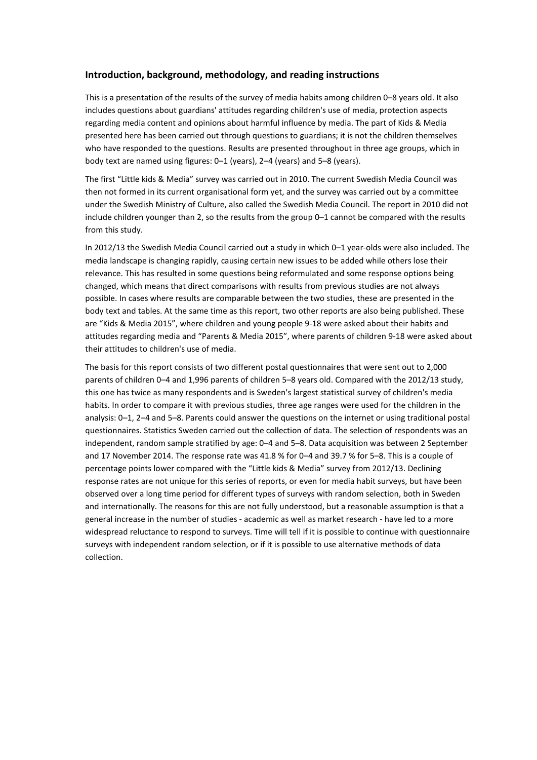# **Introduction, background, methodology, and reading instructions**

This is a presentation of the results of the survey of media habits among children 0–8 years old. It also includes questions about guardians' attitudes regarding children's use of media, protection aspects regarding media content and opinions about harmful influence by media. The part of Kids & Media presented here has been carried out through questions to guardians; it is not the children themselves who have responded to the questions. Results are presented throughout in three age groups, which in body text are named using figures: 0–1 (years), 2–4 (years) and 5–8 (years).

The first "Little kids & Media" survey was carried out in 2010. The current Swedish Media Council was then not formed in its current organisational form yet, and the survey was carried out by a committee under the Swedish Ministry of Culture, also called the Swedish Media Council. The report in 2010 did not include children younger than 2, so the results from the group 0–1 cannot be compared with the results from this study.

In 2012/13 the Swedish Media Council carried out a study in which 0–1 year-olds were also included. The media landscape is changing rapidly, causing certain new issues to be added while others lose their relevance. This has resulted in some questions being reformulated and some response options being changed, which means that direct comparisons with results from previous studies are not always possible. In cases where results are comparable between the two studies, these are presented in the body text and tables. At the same time as this report, two other reports are also being published. These are "Kids & Media 2015", where children and young people 9-18 were asked about their habits and attitudes regarding media and "Parents & Media 2015", where parents of children 9-18 were asked about their attitudes to children's use of media.

The basis for this report consists of two different postal questionnaires that were sent out to 2,000 parents of children 0–4 and 1,996 parents of children 5–8 years old. Compared with the 2012/13 study, this one has twice as many respondents and is Sweden's largest statistical survey of children's media habits. In order to compare it with previous studies, three age ranges were used for the children in the analysis: 0–1, 2–4 and 5–8. Parents could answer the questions on the internet or using traditional postal questionnaires. Statistics Sweden carried out the collection of data. The selection of respondents was an independent, random sample stratified by age: 0–4 and 5–8. Data acquisition was between 2 September and 17 November 2014. The response rate was 41.8 % for 0–4 and 39.7 % for 5–8. This is a couple of percentage points lower compared with the "Little kids & Media" survey from 2012/13. Declining response rates are not unique for this series of reports, or even for media habit surveys, but have been observed over a long time period for different types of surveys with random selection, both in Sweden and internationally. The reasons for this are not fully understood, but a reasonable assumption is that a general increase in the number of studies - academic as well as market research - have led to a more widespread reluctance to respond to surveys. Time will tell if it is possible to continue with questionnaire surveys with independent random selection, or if it is possible to use alternative methods of data collection.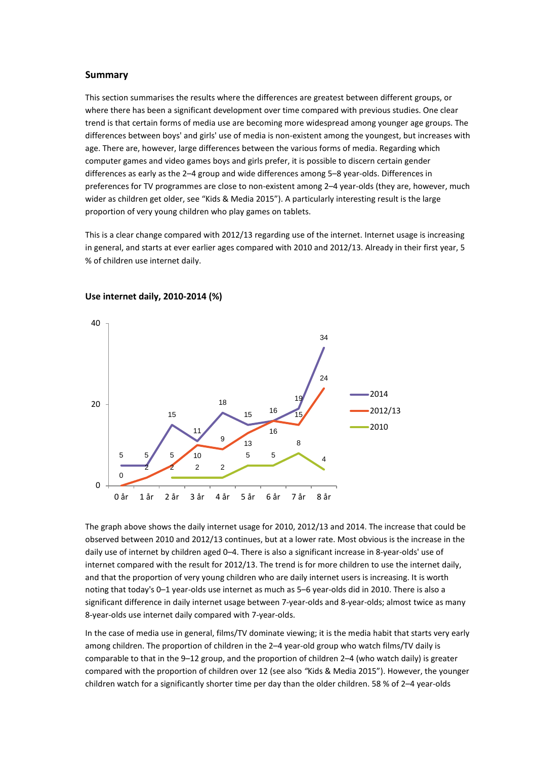#### **Summary**

This section summarises the results where the differences are greatest between different groups, or where there has been a significant development over time compared with previous studies. One clear trend is that certain forms of media use are becoming more widespread among younger age groups. The differences between boys' and girls' use of media is non-existent among the youngest, but increases with age. There are, however, large differences between the various forms of media. Regarding which computer games and video games boys and girls prefer, it is possible to discern certain gender differences as early as the 2–4 group and wide differences among 5–8 year-olds. Differences in preferences for TV programmes are close to non-existent among 2–4 year-olds (they are, however, much wider as children get older, see "Kids & Media 2015"). A particularly interesting result is the large proportion of very young children who play games on tablets.

This is a clear change compared with 2012/13 regarding use of the internet. Internet usage is increasing in general, and starts at ever earlier ages compared with 2010 and 2012/13. Already in their first year, 5 % of children use internet daily.



## **Use internet daily, 2010-2014 (%)**

The graph above shows the daily internet usage for 2010, 2012/13 and 2014. The increase that could be observed between 2010 and 2012/13 continues, but at a lower rate. Most obvious is the increase in the daily use of internet by children aged 0–4. There is also a significant increase in 8-year-olds' use of internet compared with the result for 2012/13. The trend is for more children to use the internet daily, and that the proportion of very young children who are daily internet users is increasing. It is worth noting that today's 0–1 year-olds use internet as much as 5–6 year-olds did in 2010. There is also a significant difference in daily internet usage between 7-year-olds and 8-year-olds; almost twice as many 8-year-olds use internet daily compared with 7-year-olds.

In the case of media use in general, films/TV dominate viewing; it is the media habit that starts very early among children. The proportion of children in the 2–4 year-old group who watch films/TV daily is comparable to that in the 9–12 group, and the proportion of children 2–4 (who watch daily) is greater compared with the proportion of children over 12 (see also *"*Kids & Media 2015"). However, the younger children watch for a significantly shorter time per day than the older children. 58 % of 2–4 year-olds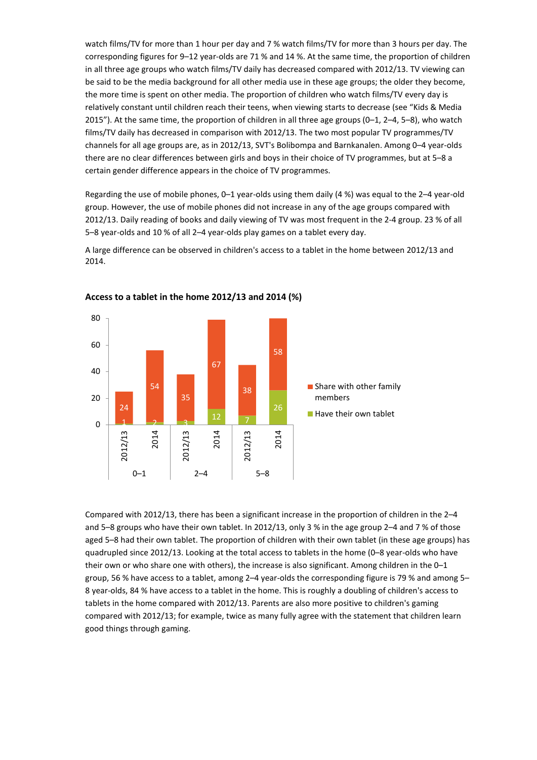watch films/TV for more than 1 hour per day and 7 % watch films/TV for more than 3 hours per day. The corresponding figures for 9–12 year-olds are 71 % and 14 %. At the same time, the proportion of children in all three age groups who watch films/TV daily has decreased compared with 2012/13. TV viewing can be said to be the media background for all other media use in these age groups; the older they become, the more time is spent on other media. The proportion of children who watch films/TV every day is relatively constant until children reach their teens, when viewing starts to decrease (see "Kids & Media 2015"). At the same time, the proportion of children in all three age groups (0–1, 2–4, 5–8), who watch films/TV daily has decreased in comparison with 2012/13. The two most popular TV programmes/TV channels for all age groups are, as in 2012/13, SVT's Bolibompa and Barnkanalen. Among 0–4 year-olds there are no clear differences between girls and boys in their choice of TV programmes, but at 5–8 a certain gender difference appears in the choice of TV programmes.

Regarding the use of mobile phones, 0–1 year-olds using them daily (4 %) was equal to the 2–4 year-old group. However, the use of mobile phones did not increase in any of the age groups compared with 2012/13. Daily reading of books and daily viewing of TV was most frequent in the 2-4 group. 23 % of all 5–8 year-olds and 10 % of all 2–4 year-olds play games on a tablet every day.

A large difference can be observed in children's access to a tablet in the home between 2012/13 and 2014.



## **Access to a tablet in the home 2012/13 and 2014 (%)**

Compared with 2012/13, there has been a significant increase in the proportion of children in the 2–4 and 5–8 groups who have their own tablet. In 2012/13, only 3 % in the age group 2–4 and 7 % of those aged 5–8 had their own tablet. The proportion of children with their own tablet (in these age groups) has quadrupled since 2012/13. Looking at the total access to tablets in the home (0–8 year-olds who have their own or who share one with others), the increase is also significant. Among children in the 0–1 group, 56 % have access to a tablet, among 2–4 year-olds the corresponding figure is 79 % and among 5– 8 year-olds, 84 % have access to a tablet in the home. This is roughly a doubling of children's access to tablets in the home compared with 2012/13. Parents are also more positive to children's gaming compared with 2012/13; for example, twice as many fully agree with the statement that children learn good things through gaming.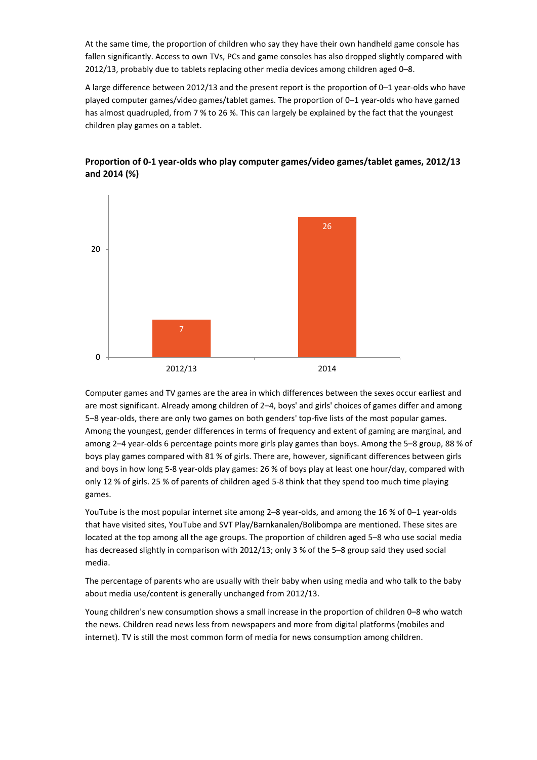At the same time, the proportion of children who say they have their own handheld game console has fallen significantly. Access to own TVs, PCs and game consoles has also dropped slightly compared with 2012/13, probably due to tablets replacing other media devices among children aged 0–8.

A large difference between 2012/13 and the present report is the proportion of 0–1 year-olds who have played computer games/video games/tablet games. The proportion of 0–1 year-olds who have gamed has almost quadrupled, from 7 % to 26 %. This can largely be explained by the fact that the youngest children play games on a tablet.



**Proportion of 0-1 year-olds who play computer games/video games/tablet games, 2012/13 and 2014 (%)** 

Computer games and TV games are the area in which differences between the sexes occur earliest and are most significant. Already among children of 2–4, boys' and girls' choices of games differ and among 5–8 year-olds, there are only two games on both genders' top-five lists of the most popular games. Among the youngest, gender differences in terms of frequency and extent of gaming are marginal, and among 2–4 year-olds 6 percentage points more girls play games than boys. Among the 5–8 group, 88 % of boys play games compared with 81 % of girls. There are, however, significant differences between girls and boys in how long 5-8 year-olds play games: 26 % of boys play at least one hour/day, compared with only 12 % of girls. 25 % of parents of children aged 5-8 think that they spend too much time playing games.

YouTube is the most popular internet site among 2–8 year-olds, and among the 16 % of 0–1 year-olds that have visited sites, YouTube and SVT Play/Barnkanalen/Bolibompa are mentioned. These sites are located at the top among all the age groups. The proportion of children aged 5–8 who use social media has decreased slightly in comparison with 2012/13; only 3 % of the 5–8 group said they used social media.

The percentage of parents who are usually with their baby when using media and who talk to the baby about media use/content is generally unchanged from 2012/13.

Young children's new consumption shows a small increase in the proportion of children 0–8 who watch the news. Children read news less from newspapers and more from digital platforms (mobiles and internet). TV is still the most common form of media for news consumption among children.